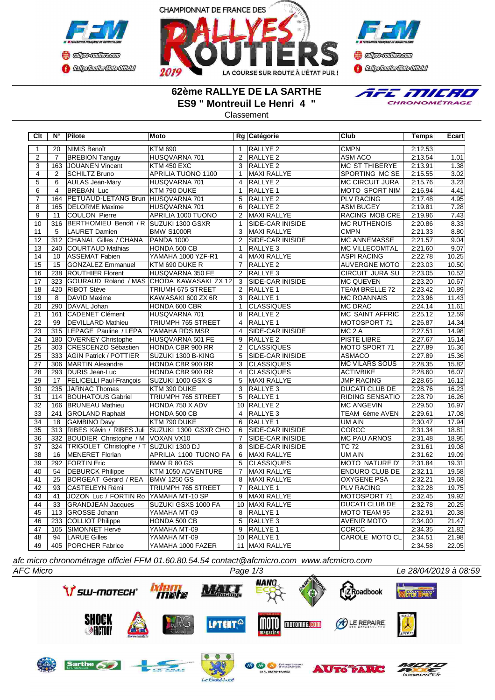



**Confederation CENTRAL MEDICATE** 

## **62ème RALLYE DE LA SARTHE ES9 " Montreuil Le Henri 4 "**

E MILRO CHRONOMÉTRAGE

## Classement

| Clt             | $N^{\circ}$      | Pilote                                     | Moto                                          |                | Rg Catégorie            | Club                   | <b>Temps</b> | Ecart |
|-----------------|------------------|--------------------------------------------|-----------------------------------------------|----------------|-------------------------|------------------------|--------------|-------|
| $\overline{1}$  | 20               | <b>NIMIS Benoît</b>                        | <b>KTM 690</b>                                | $\mathbf{1}$   | RALLYE <sub>2</sub>     | <b>CMPN</b>            | 2:12.53      |       |
| $\overline{2}$  | $\overline{7}$   | <b>BREBION Tanguy</b>                      | HUSQVARNA 701                                 | $\overline{2}$ | RALLYE <sub>2</sub>     | <b>ASM ACO</b>         | 2:13.54      | 1.01  |
| $\overline{3}$  | 163              | JOUANEN Vincent                            | <b>KTM 450 EXC</b>                            | 3              | RALLYE <sub>2</sub>     | <b>MC ST THIBERYE</b>  | 2:13.91      | 1.38  |
| $\overline{4}$  | $\overline{2}$   | <b>SCHILTZ Bruno</b>                       | <b>APRILIA TUONO 1100</b>                     | $\overline{1}$ | MAXI RALLYE             | SPORTING MC SE         | 2:15.55      | 3.02  |
| $\overline{5}$  | 6                | <b>AULAS Jean-Mary</b>                     | HUSQVARNA 701                                 | $\overline{4}$ | <b>RALLYE 2</b>         | <b>MC CIRCUIT JURA</b> | 2:15.76      | 3.23  |
| $\overline{6}$  | $\overline{4}$   | <b>BREBAN Luc</b>                          | KTM 790 DUKE                                  | $\overline{1}$ | RALLYE 1                | <b>MOTO SPORT NIM</b>  | 2:16.94      | 4.41  |
| $\overline{7}$  | 164              | PETUAUD-LETANG Brun HUSQVARNA 701          |                                               | 5              | RALLYE <sub>2</sub>     | <b>PLV RACING</b>      | 2:17.48      | 4.95  |
| $\overline{8}$  | 165              | <b>DELORME</b> Maxime                      | HUSQVARNA 701                                 | $\overline{6}$ | <b>RALLYE 2</b>         | <b>ASM BUGEY</b>       | 2:19.81      | 7.28  |
| $\overline{9}$  | 11               | <b>COULON Pierre</b>                       | APRILIA 1000 TUONO                            | 2              | <b>MAXI RALLYE</b>      | <b>RACING MOB CRE</b>  | 2:19.96      | 7.43  |
| 10              | 316              | BERTHOMIEU Benoît / R SUZUKI 1300 GSXR     |                                               | $\overline{1}$ | <b>SIDE-CAR INISIDE</b> | <b>MC RUTHENOIS</b>    | 2:20.86      | 8.33  |
| 11              | 5                | LAURET Damien                              | <b>BMW S1000R</b>                             | 3              | <b>MAXI RALLYE</b>      | <b>CMPN</b>            | 2:21.33      | 8.80  |
| $\overline{12}$ | 312              | <b>CHANAL Gilles / CHANA</b>               | <b>PANDA 1000</b>                             | $\overline{2}$ | SIDE-CAR INISIDE        | <b>MC ANNEMASSE</b>    | 2:21.57      | 9.04  |
| 13              | 240              | <b>COURTAUD Mathias</b>                    | HONDA 500 CB                                  | $\overline{1}$ | RALLYE <sub>3</sub>     | <b>MC VILLECOMTAL</b>  | 2:21.60      | 9.07  |
| $\overline{14}$ | 10               | <b>ASSEMAT Fabien</b>                      | YAMAHA 1000 YZF-R1                            | $\overline{4}$ | MAXI RALLYE             | <b>ASPI RACING</b>     | 2:22.78      | 10.25 |
| $\overline{15}$ | $\overline{15}$  | <b>GONZALEZ Emmanuel</b>                   | KTM 690 DUKE R                                | $\overline{7}$ | <b>RALLYE 2</b>         | <b>AUVERGNE MOTO</b>   | 2:23.03      | 10.50 |
| 16              | 238              | <b>ROUTHIER Florent</b>                    | HUSQVARNA 350 FE                              | $\overline{2}$ | RALLYE <sub>3</sub>     | CIRCUIT JURA SU        | 2:23.05      | 10.52 |
| $\overline{17}$ | 323              |                                            | GOURAUD Roland / MAS CHODA KAWASAKI ZX 12     | 3              | <b>SIDE-CAR INISIDE</b> | <b>MC QUEVEN</b>       | 2:23.20      | 10.67 |
| $\overline{18}$ | 420              | <b>RIBOT Stève</b>                         | TRIUMH 675 STREET                             | 2              | <b>RALLYE 1</b>         | <b>TEAM BRELLE 72</b>  | 2:23.42      | 10.89 |
| 19              | 8                | DAVID Maxime                               | KAWASAKI 600 ZX 6R                            | 3              | RALLYE 1                | <b>MC ROANNAIS</b>     | 2:23.96      | 11.43 |
| 20              | 290              | DAVAL Johan                                | HONDA 600 CBR                                 | $\overline{1}$ | <b>CLASSIQUES</b>       | <b>MC DRAC</b>         | 2:24.14      | 11.61 |
| $\overline{21}$ | 161              | CADENET Clément                            | HUSQVARNA 701                                 | $\overline{8}$ | RALLYE <sub>2</sub>     | <b>MC SAINT AFFRIC</b> | 2:25.12      | 12.59 |
| $\overline{22}$ | 99               | <b>DEVILLARD Mathieu</b>                   | TRIUMPH 765 STREET                            | $\overline{4}$ | RALLYE <sub>1</sub>     | MOTOSPORT 71           | 2:26.87      | 14.34 |
| 23              | 315              | LEPAGE Pauline / LEPA                      | YAMAHA RDS MSR                                | $\overline{4}$ | SIDE-CAR INISIDE        | MC <sub>2</sub> A      | 2:27.51      | 14.98 |
| $\overline{24}$ |                  | 180 OVERNEY Christophe                     | HUSQVARNA 501 FE                              | 9              | RALLYE <sub>2</sub>     | <b>PISTE LIBRE</b>     | 2:27.67      | 15.14 |
| $\overline{25}$ | $\overline{303}$ | CRESCENZO Sébastien                        | HONDA CBR 900 RR                              | 2              | <b>CLASSIQUES</b>       | MOTO SPORT 71          | 2:27.89      | 15.36 |
| $\overline{25}$ | 333              | <b>AGIN Patrick / POTTIER</b>              | SUZUKI 1300 B-KING                            | 5              | SIDE-CAR INISIDE        | <b>ASMACO</b>          | 2:27.89      | 15.36 |
| 27              | 306              | MARTIN Alexandre                           | HONDA CBR 900 RR                              | 3              | <b>CLASSIQUES</b>       | <b>MC VILARS SOUS</b>  | 2:28.35      | 15.82 |
| 28              |                  | 293   DURIS Jean-Luc                       | HONDA CBR 900 RR                              | $\overline{4}$ | <b>CLASSIQUES</b>       | <b>ACTIVBIKE</b>       | 2:28.60      | 16.07 |
| 29              | 17               | <b>FELICELLI Paul-François</b>             | SUZUKI 1000 GSX-S                             | 5              | MAXI RALLYE             | <b>JMP RACING</b>      | 2:28.65      | 16.12 |
| 30              |                  | 235 JARNAC Thomas                          | KTM 390 DUKE                                  | 3              | RALLYE <sub>3</sub>     | DUCATI CLUB DE         | 2:28.76      | 16.23 |
| 31              |                  | 114   BOUHATOUS Gabriel                    | TRIUMPH 765 STREET                            | 5              | RALLYE <sub>1</sub>     | RIDING SENSATIO        | 2:28.79      | 16.26 |
| $\overline{32}$ |                  | 166 BRUNEAU Mathieu                        | HONDA 750 X ADV                               |                | 10 RALLYE 2             | <b>MC ANGEVIN</b>      | 2:29.50      | 16.97 |
| $\overline{33}$ |                  | 241 GROLAND Raphaël                        | HONDA 500 CB                                  | $\overline{4}$ | <b>RALLYE 3</b>         | TEAM 6ème AVEN         | 2:29.61      | 17.08 |
| $\overline{34}$ | 18               | <b>GAMBINO Davy</b>                        | KTM 790 DUKE                                  | 6              | RALLYE 1                | UM AIN                 | 2:30.47      | 17.94 |
| $\overline{35}$ | 313              |                                            | RIBES Kévin / RIBES Juli SUZUKI 1300 GSXR CHO | 6              | SIDE-CAR INISIDE        | <b>CORCC</b>           | 2:31.34      | 18.81 |
| 36              | 332              | BOUDIER Christophe / M VOXAN VX10          |                                               | $\overline{7}$ | <b>SIDE-CAR INISIDE</b> | <b>MC PAU ARNOS</b>    | 2:31.48      | 18.95 |
| 37              |                  | 324 TRIGOLET Christophe / T SUZUKI 1300 DJ |                                               | 8              | SIDE-CAR INISIDE        | <b>TC 72</b>           | 2:31.61      | 19.08 |
| $\overline{38}$ | 16               | <b>MENERET Florian</b>                     | APRILIA 1100 TUONO FA                         | 6              | <b>MAXI RALLYE</b>      | UM AIN                 | 2:31.62      | 19.09 |
| 39              | 292              | <b>FORTIN Eric</b>                         | BMW R 80 GS                                   | 5              | <b>CLASSIQUES</b>       | MOTO NATURE D'         | 2:31.84      | 19.31 |
| 40              | 54               | <b>DEBURCK Philippe</b>                    | KTM 1050 ADVENTURE                            | $\overline{7}$ | <b>MAXI RALLYE</b>      | <b>ENDURO CLUB DE</b>  | 2:32.11      | 19.58 |
| 41              | $\overline{25}$  | BORGEAT Gérard / REA                       | <b>BMW 1250 GS</b>                            | $\overline{8}$ | <b>MAXI RALLYE</b>      | <b>OXYGENE PSA</b>     | 2:32.21      | 19.68 |
| 42              | 93               | <b>CASTELEYN Rémi</b>                      | TRIUMPH 765 STREET                            | $\overline{7}$ | RALLYE 1                | <b>PLV RACING</b>      | 2:32.28      | 19.75 |
| 43              | 41               | JOZON Luc / FORTIN Ro YAMAHA MT-10 SP      |                                               | 9              | MAXI RALLYE             | MOTOSPORT 71           | 2:32.45      | 19.92 |
| 44              | $\overline{33}$  | <b>GRANDJEAN Jacques</b>                   | SUZUKI GSXS 1000 FA                           |                | 10 MAXI RALLYE          | <b>DUCATI CLUB DE</b>  | 2:32.78      | 20.25 |
| 45              | 113              | <b>GROSSE Johann</b>                       | YAMAHA MT-09                                  | $\overline{8}$ | <b>RALLYE 1</b>         | MOTO TEAM 95           | 2:32.91      | 20.38 |
| 46              | 233              | COLLIOT Philippe                           | HONDA 500 CB                                  | $\overline{5}$ | RALLYE <sub>3</sub>     | <b>AVENIR MOTO</b>     | 2:34.00      | 21.47 |
| 47              | 105              | SIMONNET Hervé                             | YAMAHA MT-09                                  | 9              | RALLYE <sub>1</sub>     | CORCC                  | 2:34.35      | 21.82 |
| $\overline{48}$ | 94               | <b>LARUE Gilles</b>                        | YAMAHA MT-09                                  |                | 10 RALLYE 1             | <b>CAROLE MOTO CL</b>  | 2:34.51      | 21.98 |
| 49              |                  | 405 PORCHER Fabrice                        | YAMAHA 1000 FAZER                             |                | 11 MAXI RALLYE          |                        | 2:34.58      | 22.05 |

*afc micro chronométrage officiel FFM 01.60.80.54.54 contact@afcmicro.com www.afcmicro.com*



 $d$ *Luce*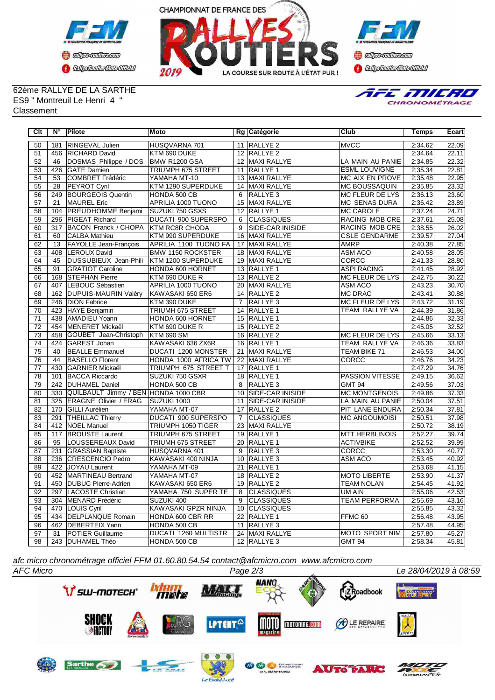



**Confederation Complementation** 

## 62ème RALLYE DE LA SARTHE ES9 " Montreuil Le Henri 4 " **Classement**



| Clt             | Ν°               | Pilote                               | Moto                        |                 | Rg Catégorie            | Club                   | Temps   | Ecart |
|-----------------|------------------|--------------------------------------|-----------------------------|-----------------|-------------------------|------------------------|---------|-------|
| 50              | 181              | RINGEVAL Julien                      | HUSQVARNA 701               |                 | 11 RALLYE 2             | <b>MVCC</b>            | 2:34.62 | 22.09 |
| 51              | 456              | <b>RICHARD David</b>                 | KTM 690 DUKE                |                 | 12 RALLYE 2             |                        | 2:34.64 | 22.11 |
| $\overline{52}$ | 46               | DOSMAS Philippe / DOS                | BMW R1200 GSA               |                 | 12 MAXI RALLYE          | LA MAIN AU PANIE       | 2:34.85 | 22.32 |
| 53              | 426              | <b>GATE</b> Damien                   | TRIUMPH 675 STREET          | 11              | RALLYE <sub>1</sub>     | <b>ESML LOUVIGNE</b>   | 2:35.34 | 22.81 |
| 54              | $\overline{53}$  | COMBRET Frédéric                     | YAMAHA MT-10                |                 | 13 MAXI RALLYE          | MC AIX EN PROVE        | 2:35.48 | 22.95 |
| 55              | 28               | <b>PEYROT Cyril</b>                  | KTM 1290 SUPERDUKE          |                 | 14 MAXI RALLYE          | <b>MC BOUSSAQUIN</b>   | 2:35.85 | 23.32 |
| 56              | 249              | <b>BOURGEOIS Quentin</b>             | HONDA 500 CB                | 6               | RALLYE <sub>3</sub>     | <b>MC FLEUR DE LYS</b> | 2:36.13 | 23.60 |
| 57              | $\overline{21}$  | MAUREL Eric                          | APRILIA 1000 TUONO          | $\overline{15}$ | MAXI RALLYE             | <b>MC SENAS DURA</b>   | 2:36.42 | 23.89 |
| $\overline{58}$ | 104              | <b>PREUDHOMME Benjami</b>            | <b>SUZUKI 750 GSXS</b>      |                 | 12 RALLYE 1             | <b>MC CAROLE</b>       | 2:37.24 | 24.71 |
| $\overline{59}$ | 296              | <b>PIGEAT Richard</b>                | <b>DUCATI 900 SUPERSPO</b>  | 6               | <b>CLASSIQUES</b>       | <b>RACING MOB CRE</b>  | 2:37.61 | 25.08 |
| $\overline{60}$ | $\overline{317}$ | <b>BACON Franck / CHOPA</b>          | <b>KTM RC8R CHODA</b>       | $\overline{9}$  | <b>SIDE-CAR INISIDE</b> | <b>RACING MOB CRE</b>  | 2:38.55 | 26.02 |
| 61              | 60               | <b>CALBA Mathieu</b>                 | KTM 990 SUPERDUKE           | 16              | MAXI RALLYE             | <b>CSLE GENDARME</b>   | 2:39.57 | 27.04 |
| 62              | 13               | FAYOLLE Jean-François                | APRILIA 1100 TUONO FA       | 17              | <b>MAXI RALLYE</b>      | <b>AMRP</b>            | 2:40.38 | 27.85 |
| 63              | 408              | LEROUX David                         | <b>BMW 1150 ROCKSTER</b>    | 18              | MAXI RALLYE             | <b>ASM ACO</b>         | 2:40.58 | 28.05 |
| 64              | 45               | DUSSUBIEUX Jean-Phili                | KTM 1200 SUPERDUKE          |                 | 19 MAXI RALLYE          | <b>CORCC</b>           | 2:41.33 | 28.80 |
| 65              | 91               | <b>GRATIOT Caroline</b>              | HONDA 600 HORNET            |                 | 13 RALLYE 1             | <b>ASPI RACING</b>     | 2:41.45 | 28.92 |
| 66              | 168              | <b>STEPHAN Pierre</b>                | KTM 690 DUKE R              |                 | 13 RALLYE 2             | MC FLEUR DE LYS        | 2:42.75 | 30.22 |
| 67              | 407              | LEBOUC Sébastien                     | <b>APRILIA 1000 TUONO</b>   |                 | 20 MAXI RALLYE          | <b>ASM ACO</b>         | 2:43.23 | 30.70 |
| 68              | 162              | <b>DUPUIS-MAURIN Valéry</b>          | KAWASAKI 650 ER6            |                 | 14 RALLYE 2             | <b>MC DRAC</b>         | 2:43.41 | 30.88 |
| 69              | 246              | <b>DION Fabrice</b>                  | KTM 390 DUKE                | $\overline{7}$  | RALLYE <sub>3</sub>     | <b>MC FLEUR DE LYS</b> | 2:43.72 | 31.19 |
| $\overline{70}$ | 423              | HAYE Benjamin                        | TRIUMH 675 STREET           |                 | 14 RALLYE 1             | TEAM RALLYE VA         | 2:44.39 | 31.86 |
| $\overline{71}$ | 438              | <b>AMADIEU Yoann</b>                 | HONDA 600 HORNET            |                 | 15 RALLYE 1             |                        | 2:44.86 | 32.33 |
| $\overline{72}$ | 454              | MENERET Mickaël                      | KTM 690 DUKE R              |                 | 15 RALLYE 2             |                        | 2:45.05 | 32.52 |
| 73              | 458              | GOUBET Jean-Christoph                | <b>KTM 690 SM</b>           | 16              | RALLYE <sub>2</sub>     | <b>MC FLEUR DE LYS</b> | 2:45.66 | 33.13 |
| 74              | 424              | GAREST Johan                         | KAWASAKI 636 ZX6R           | 16              | RALLYE <sub>1</sub>     | TEAM RALLYE VA         | 2:46.36 | 33.83 |
| 75              | 40               | <b>BEALLE Emmanuel</b>               | DUCATI 1200 MONSTER         | 21              | MAXI RALLYE             | TEAM BIKE 71           | 2:46.53 | 34.00 |
| 76              | 44               | <b>BASELLO Florent</b>               | HONDA 1000 AFRICA TW        |                 | 22 MAXI RALLYE          | <b>CORCC</b>           | 2:46.76 | 34.23 |
| $\overline{77}$ | 430              | <b>GARNIER Mickaël</b>               | <b>TRIUMPH 675 STREET T</b> |                 | 17 RALLYE 1             |                        | 2:47.29 | 34.76 |
| $\overline{78}$ | 101              | <b>BACCA Riccardo</b>                | SUZUKI 750 GSXR             |                 | 18 RALLYE 1             | <b>PASSION VITESSE</b> | 2:49.15 | 36.62 |
| $\overline{79}$ | 242              | <b>DUHAMEL Daniel</b>                | HONDA 500 CB                | 8               | RALLYE <sub>3</sub>     | <b>GMT 94</b>          | 2:49.56 | 37.03 |
| 80              | 330              | QUILBAULT Jimmy / BEN HONDA 1000 CBR |                             | $\overline{10}$ | <b>SIDE-CAR INISIDE</b> | <b>MC MONTGENOIS</b>   | 2:49.86 | 37.33 |
| $\overline{81}$ | 325              | <b>ERAGNE Olivier / ERAG</b>         | SUZUKI 1000                 | 11              | <b>SIDE-CAR INISIDE</b> | LA MAIN AU PANIE       | 2:50.04 | 37.51 |
| 82              | 170              | <b>GILLI</b> Aurélien                | YAMAHA MT-07                | 17              | RALLYE <sub>2</sub>     | PIT LANE ENDURA        | 2:50.34 | 37.81 |
| 83              | 291              | <b>THEILLAC Thierry</b>              | <b>DUCATI 900 SUPERSPO</b>  | $\overline{7}$  | <b>CLASSIQUES</b>       | <b>MC ANGOUMOISI</b>   | 2:50.51 | 37.98 |
| 84              | 412              | NOEL Manuel                          | TRIUMPH 1050 TIGER          | 23              | MAXI RALLYE             |                        | 2:50.72 | 38.19 |
| 85              | 117              | <b>BROUSTE Laurent</b>               | TRIUMPH 675 STREET          |                 | 19 RALLYE 1             | <b>MTT HERBLINOIS</b>  | 2:52.27 | 39.74 |
| 86              | 95               | LOUSSEREAUX David                    | <b>TRIUMH 675 STREET</b>    |                 | 20 RALLYE 1             | <b>ACTIVBIKE</b>       | 2:52.52 | 39.99 |
| 87              | 231              | <b>GRASSIAN Baptiste</b>             | HUSQVARNA 401               | 9               | RALLYE <sub>3</sub>     | <b>CORCC</b>           | 2:53.30 | 40.77 |
| 88              | 236              | CRESCENCIO Pedro                     | KAWASAKI 400 NINJA          |                 | 10 RALLYE 3             | <b>ASM ACO</b>         | 2:53.45 | 40.92 |
| 89              | 422              | JOYAU Laurent                        | YAMAHA MT-09                | 21              | RALLYE <sub>1</sub>     |                        | 2:53.68 | 41.15 |
| $\overline{90}$ | 452              | MARTINEAU Bertrand                   | YAMAHA MT-07                |                 | 18 RALLYE 2             | <b>MOTO LIBERTE</b>    | 2:53.90 | 41.37 |
| $\overline{91}$ |                  | 450 DUBUC Pierre-Adrien              | KAWASAKI 650 ER6            |                 | 19 RALLYE 2             | <b>TEAM NOLAN</b>      | 2:54.45 | 41.92 |
| 92              | 297              | LACOSTE Christian                    | YAMAHA 750 SUPER TE         | 8               | <b>CLASSIQUES</b>       | UM AIN                 | 2:55.06 | 42.53 |
| 93              | 304              | MENARD Frédéric                      | SUZUKI 400                  | 9               | <b>CLASSIQUES</b>       | <b>TEAM PERFORMA</b>   | 2:55.69 | 43.16 |
| 94              | 470              | LOUIS Cyril                          | KAWASAKI GPZR NINJA         |                 | 10 CLASSIQUES           |                        | 2:55.85 | 43.32 |
| $\overline{95}$ | 434              | <b>DELPLANQUE Romain</b>             | HONDA 600 CBR RR            |                 | 22 RALLYE 1             | FFMC <sub>60</sub>     | 2:56.48 | 43.95 |
| $\overline{96}$ |                  | 462 <b>DEBERTEIX</b> Yann            | HONDA 500 CB                | 11              | <b>RALLYE 3</b>         |                        | 2:57.48 | 44.95 |
| 97              | 31               | <b>POTIER Guillaume</b>              | <b>DUCATI 1260 MULTISTR</b> |                 | 24 MAXI RALLYE          | <b>MOTO SPORT NIM</b>  | 2:57.80 | 45.27 |
| $\overline{98}$ |                  | 243 DUHAMEL Théo                     | HONDA 500 CB                |                 | 12 RALLYE 3             | GMT 94                 | 2:58.34 | 45.81 |

*afc micro chronométrage officiel FFM 01.60.80.54.54 contact@afcmicro.com www.afcmicro.com*